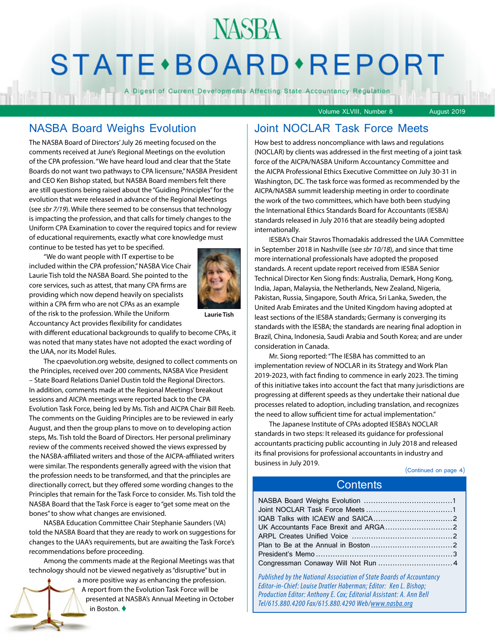## NASBA STATE · BOARD · REPORT

A Digest of Current Developments Affecting State Accountancy Regulation

Volume XLVIII, Number 8 August 2019

#### NASBA Board Weighs Evolution

The NASBA Board of Directors' July 26 meeting focused on the comments received at June's Regional Meetings on the evolution of the CPA profession. "We have heard loud and clear that the State Boards do not want two pathways to CPA licensure," NASBA President and CEO Ken Bishop stated, but NASBA Board members felt there are still questions being raised about the "Guiding Principles" for the evolution that were released in advance of the Regional Meetings (see *sbr 7/19*). While there seemed to be consensus that technology is impacting the profession, and that calls for timely changes to the Uniform CPA Examination to cover the required topics and for review of educational requirements, exactly what core knowledge must

continue to be tested has yet to be specified.

"We do want people with IT expertise to be included within the CPA profession," NASBA Vice Chair Laurie Tish told the NASBA Board. She pointed to the core services, such as attest, that many CPA firms are providing which now depend heavily on specialists within a CPA firm who are not CPAs as an example of the risk to the profession. While the Uniform Accountancy Act provides flexibility for candidates



**Laurie Tish**

with different educational backgrounds to qualify to become CPAs, it was noted that many states have not adopted the exact wording of the UAA, nor its Model Rules.

The cpaevolution.org website, designed to collect comments on the Principles, received over 200 comments, NASBA Vice President – State Board Relations Daniel Dustin told the Regional Directors. In addition, comments made at the Regional Meetings' breakout sessions and AICPA meetings were reported back to the CPA Evolution Task Force, being led by Ms. Tish and AICPA Chair Bill Reeb. The comments on the Guiding Principles are to be reviewed in early August, and then the group plans to move on to developing action steps, Ms. Tish told the Board of Directors. Her personal preliminary review of the comments received showed the views expressed by the NASBA-affiliated writers and those of the AICPA-affiliated writers were similar. The respondents generally agreed with the vision that the profession needs to be transformed, and that the principles are directionally correct, but they offered some wording changes to the Principles that remain for the Task Force to consider. Ms. Tish told the NASBA Board that the Task Force is eager to "get some meat on the bones" to show what changes are envisioned.

NASBA Education Committee Chair Stephanie Saunders (VA) told the NASBA Board that they are ready to work on suggestions for changes to the UAA's requirements, but are awaiting the Task Force's recommendations before proceeding.

Among the comments made at the Regional Meetings was that technology should not be viewed negatively as "disruptive" but in

> a more positive way as enhancing the profession. A report from the Evolution Task Force will be presented at NASBA's Annual Meeting in October in Boston.  $\blacklozenge$

#### Joint NOCLAR Task Force Meets

How best to address noncompliance with laws and regulations (NOCLAR) by clients was addressed in the first meeting of a joint task force of the AICPA/NASBA Uniform Accountancy Committee and the AICPA Professional Ethics Executive Committee on July 30-31 in Washington, DC. The task force was formed as recommended by the AICPA/NASBA summit leadership meeting in order to coordinate the work of the two committees, which have both been studying the International Ethics Standards Board for Accountants (IESBA) standards released in July 2016 that are steadily being adopted internationally.

IESBA's Chair Stavros Thomadakis addressed the UAA Committee in September 2018 in Nashville (see *sbr 10/18*), and since that time more international professionals have adopted the proposed standards. A recent update report received from IESBA Senior Technical Director Ken Siong finds: Australia, Demark, Hong Kong, India, Japan, Malaysia, the Netherlands, New Zealand, Nigeria, Pakistan, Russia, Singapore, South Africa, Sri Lanka, Sweden, the United Arab Emirates and the United Kingdom having adopted at least sections of the IESBA standards; Germany is converging its standards with the IESBA; the standards are nearing final adoption in Brazil, China, Indonesia, Saudi Arabia and South Korea; and are under consideration in Canada.

Mr. Siong reported: "The IESBA has committed to an implementation review of NOCLAR in its Strategy and Work Plan 2019-2023, with fact finding to commence in early 2023. The timing of this initiative takes into account the fact that many jurisdictions are progressing at different speeds as they undertake their national due processes related to adoption, including translation, and recognizes the need to allow sufficient time for actual implementation."

The Japanese Institute of CPAs adopted IESBA's NOCLAR standards in two steps: It released its guidance for professional accountants practicing public accounting in July 2018 and released its final provisions for professional accountants in industry and business in July 2019.

(Continued on page 4)

#### **Contents**

*Published by the National Association of State Boards of Accountancy Editor-in-Chief: Louise Dratler Haberman; Editor: Ken L. Bishop; Production Editor: Anthony E. Cox; Editorial Assistant: A. Ann Bell Tel/615.880.4200 Fax/615.880.4290 Web/www.nasba.org*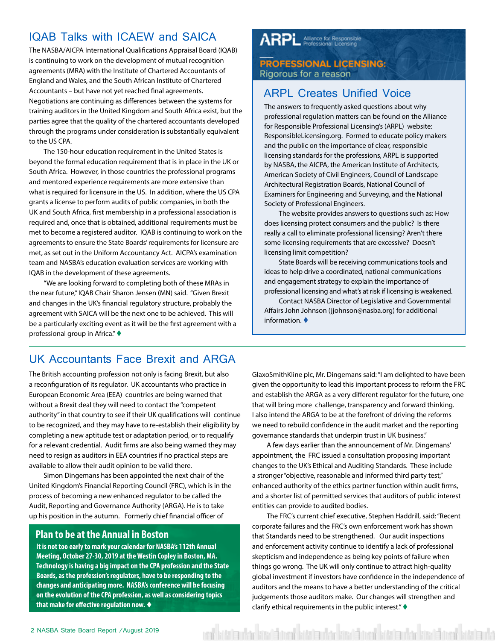#### <span id="page-1-0"></span>IQAB Talks with ICAEW and SAICA

The NASBA/AICPA International Qualifications Appraisal Board (IQAB) is continuing to work on the development of mutual recognition agreements (MRA) with the Institute of Chartered Accountants of England and Wales, and the South African Institute of Chartered Accountants – but have not yet reached final agreements. Negotiations are continuing as differences between the systems for training auditors in the United Kingdom and South Africa exist, but the parties agree that the quality of the chartered accountants developed through the programs under consideration is substantially equivalent to the US CPA.

The 150-hour education requirement in the United States is beyond the formal education requirement that is in place in the UK or South Africa. However, in those countries the professional programs and mentored experience requirements are more extensive than what is required for licensure in the US. In addition, where the US CPA grants a license to perform audits of public companies, in both the UK and South Africa, first membership in a professional association is required and, once that is obtained, additional requirements must be met to become a registered auditor. IQAB is continuing to work on the agreements to ensure the State Boards' requirements for licensure are met, as set out in the Uniform Accountancy Act. AICPA's examination team and NASBA's education evaluation services are working with IQAB in the development of these agreements.

"We are looking forward to completing both of these MRAs in the near future," IQAB Chair Sharon Jensen (MN) said. "Given Brexit and changes in the UK's financial regulatory structure, probably the agreement with SAICA will be the next one to be achieved. This will be a particularly exciting event as it will be the first agreement with a professional group in Africa."

### **ARPL** Alliance for Responsible

**PROFESSIONAL LICENSING:** Rigorous for a reason

#### ARPL Creates Unified Voice

The answers to frequently asked questions about why professional regulation matters can be found on the Alliance for Responsible Professional Licensing's (ARPL) website: ResponsibleLicensing.org. Formed to educate policy makers and the public on the importance of clear, responsible licensing standards for the professions, ARPL is supported by NASBA, the AICPA, the American Institute of Architects, American Society of Civil Engineers, Council of Landscape Architectural Registration Boards, National Council of Examiners for Engineering and Surveying, and the National Society of Professional Engineers.

The website provides answers to questions such as: How does licensing protect consumers and the public? Is there really a call to eliminate professional licensing? Aren't there some licensing requirements that are excessive? Doesn't licensing limit competition?

State Boards will be receiving communications tools and ideas to help drive a coordinated, national communications and engagement strategy to explain the importance of professional licensing and what's at risk if licensing is weakened.

Contact NASBA Director of Legislative and Governmental Affairs John Johnson (jjohnson@nasba.org) for additional information.  $\blacklozenge$ 

#### UK Accountants Face Brexit and ARGA

The British accounting profession not only is facing Brexit, but also a reconfiguration of its regulator. UK accountants who practice in European Economic Area (EEA) countries are being warned that without a Brexit deal they will need to contact the "competent authority" in that country to see if their UK qualifications will continue to be recognized, and they may have to re-establish their eligibility by completing a new aptitude test or adaptation period, or to requalify for a relevant credential. Audit firms are also being warned they may need to resign as auditors in EEA countries if no practical steps are available to allow their audit opinion to be valid there.

Simon Dingemans has been appointed the next chair of the United Kingdom's Financial Reporting Council (FRC), which is in the process of becoming a new enhanced regulator to be called the Audit, Reporting and Governance Authority (ARGA). He is to take up his position in the autumn. Formerly chief financial officer of

#### **Plan to be at the Annual in Boston**

**It is not too early to mark your calendar for NASBA's 112th Annual Meeting, October 27-30, 2019 at the Westin Copley in Boston, MA. Technology is having a big impact on the CPA profession and the State Boards, as the profession's regulators, have to be responding to the changes and anticipating more. NASBA's conference will be focusing on the evolution of the CPA profession, as well as considering topics**  that make for effective regulation now.  $\blacklozenge$ 

GlaxoSmithKline plc, Mr. Dingemans said: "I am delighted to have been given the opportunity to lead this important process to reform the FRC and establish the ARGA as a very different regulator for the future, one that will bring more challenge, transparency and forward thinking. I also intend the ARGA to be at the forefront of driving the reforms we need to rebuild confidence in the audit market and the reporting governance standards that underpin trust in UK business."

A few days earlier than the announcement of Mr. Dingemans' appointment, the FRC issued a consultation proposing important changes to the UK's Ethical and Auditing Standards. These include a stronger "objective, reasonable and informed third party test," enhanced authority of the ethics partner function within audit firms, and a shorter list of permitted services that auditors of public interest entities can provide to audited bodies.

The FRC's current chief executive, Stephen Haddrill, said: "Recent corporate failures and the FRC's own enforcement work has shown that Standards need to be strengthened. Our audit inspections and enforcement activity continue to identify a lack of professional skepticism and independence as being key points of failure when things go wrong. The UK will only continue to attract high-quality global investment if investors have confidence in the independence of auditors and the means to have a better understanding of the critical judgements those auditors make. Our changes will strengthen and clarify ethical requirements in the public interest." $\blacklozenge$ 

red bitata utar bizatā ized bitata dar bizatā ized bitata utar bizatā izedā bitata uta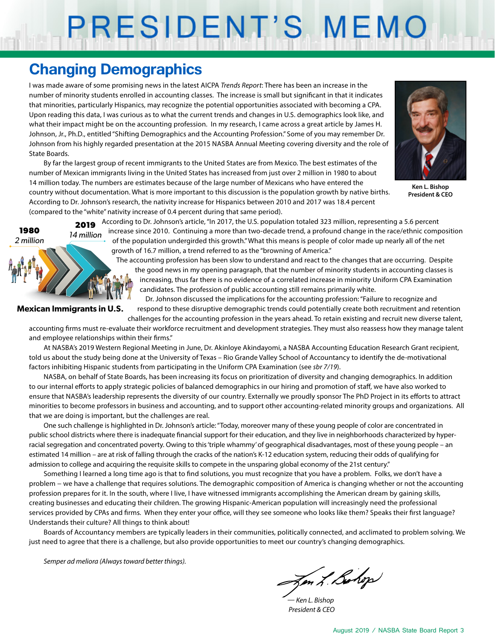# PRESIDENT'S MEMO

## **Changing Demographics**

I was made aware of some promising news in the latest AICPA *Trends Report*: There has been an increase in the number of minority students enrolled in accounting classes. The increase is small but significant in that it indicates that minorities, particularly Hispanics, may recognize the potential opportunities associated with becoming a CPA. Upon reading this data, I was curious as to what the current trends and changes in U.S. demographics look like, and what their impact might be on the accounting profession. In my research, I came across a great article by James H. Johnson, Jr., Ph.D., entitled "Shifting Demographics and the Accounting Profession." Some of you may remember Dr. Johnson from his highly regarded presentation at the 2015 NASBA Annual Meeting covering diversity and the role of State Boards.

By far the largest group of recent immigrants to the United States are from Mexico. The best estimates of the number of Mexican immigrants living in the United States has increased from just over 2 million in 1980 to about 14 million today. The numbers are estimates because of the large number of Mexicans who have entered the country without documentation. What is more important to this discussion is the population growth by native births. According to Dr. Johnson's research, the nativity increase for Hispanics between 2010 and 2017 was 18.4 percent (compared to the "white" nativity increase of 0.4 percent during that same period).



**Ken L. Bishop President & CEO**

**1980** *2 million* **2019** *14 million*

According to Dr. Johnson's article, "In 2017, the U.S. population totaled 323 million, representing a 5.6 percent increase since 2010. Continuing a more than two-decade trend, a profound change in the race/ethnic composition of the population undergirded this growth." What this means is people of color made up nearly all of the net growth of 16.7 million, a trend referred to as the "browning of America."

The accounting profession has been slow to understand and react to the changes that are occurring. Despite the good news in my opening paragraph, that the number of minority students in accounting classes is increasing, thus far there is no evidence of a correlated increase in minority Uniform CPA Examination candidates. The profession of public accounting still remains primarily white.

**Mexican Immigrants in U.S.**

Dr. Johnson discussed the implications for the accounting profession: "Failure to recognize and respond to these disruptive demographic trends could potentially create both recruitment and retention

challenges for the accounting profession in the years ahead. To retain existing and recruit new diverse talent, accounting firms must re-evaluate their workforce recruitment and development strategies. They must also reassess how they manage talent and employee relationships within their firms."

At NASBA's 2019 Western Regional Meeting in June, Dr. Akinloye Akindayomi, a NASBA Accounting Education Research Grant recipient, told us about the study being done at the University of Texas – Rio Grande Valley School of Accountancy to identify the de-motivational factors inhibiting Hispanic students from participating in the Uniform CPA Examination (see *sbr 7/19*).

NASBA, on behalf of State Boards, has been increasing its focus on prioritization of diversity and changing demographics. In addition to our internal efforts to apply strategic policies of balanced demographics in our hiring and promotion of staff, we have also worked to ensure that NASBA's leadership represents the diversity of our country. Externally we proudly sponsor The PhD Project in its efforts to attract minorities to become professors in business and accounting, and to support other accounting-related minority groups and organizations. All that we are doing is important, but the challenges are real.

One such challenge is highlighted in Dr. Johnson's article: "Today, moreover many of these young people of color are concentrated in public school districts where there is inadequate financial support for their education, and they live in neighborhoods characterized by hyperracial segregation and concentrated poverty. Owing to this 'triple whammy' of geographical disadvantages, most of these young people – an estimated 14 million – are at risk of falling through the cracks of the nation's K-12 education system, reducing their odds of qualifying for admission to college and acquiring the requisite skills to compete in the unsparing global economy of the 21st century."

Something I learned a long time ago is that to find solutions, you must recognize that you have a problem. Folks, we don't have a problem − we have a challenge that requires solutions. The demographic composition of America is changing whether or not the accounting profession prepares for it. In the south, where I live, I have witnessed immigrants accomplishing the American dream by gaining skills, creating businesses and educating their children. The growing Hispanic-American population will increasingly need the professional services provided by CPAs and firms. When they enter your office, will they see someone who looks like them? Speaks their first language? Understands their culture? All things to think about!

Boards of Accountancy members are typically leaders in their communities, politically connected, and acclimated to problem solving. We just need to agree that there is a challenge, but also provide opportunities to meet our country's changing demographics.

*Semper ad meliora (Always toward better things).*

Jen L. Bohop

*— Ken L. Bishop President & CEO*